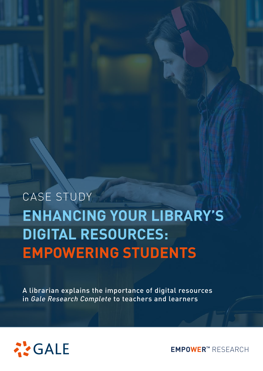# **ENHANCING YOUR LIBRARY'S DIGITAL RESOURCES: EMPOWERING STUDENTS** CASE STUDY

A librarian explains the importance of digital resources in *Gale Research Complete* to teachers and learners



**EMPOWER™** RESEARCH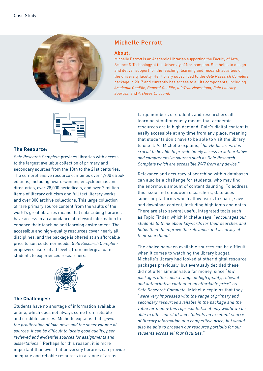

## **Michelle Perrott**

#### **About:**

Michelle Perrott is an Academic Librarian supporting the Faculty of Arts, Science & Technology at the University of Northampton. She helps to design and deliver support for the teaching, learning and research activities of the university faculty. Her library subscribed to the *Gale Research Complete* package in 2017 and currently has access to all its components, including *Academic OneFile*, *General OneFile*, *InfoTrac Newsstand*, *Gale Literary Sources*, and *Archives Unbound*.



#### **The Resource:**

*Gale Research Complete* provides libraries with access to the largest available collection of primary and secondary sources from the 13th to the 21st centuries. The comprehensive resource combines over 1,900 eBook editions, including award-winning encyclopedias and directories, over 28,000 periodicals, and over 2 million items of literary criticism and full text literary works and over 300 archive collections. This large collection of rare primary source content from the vaults of the world's great libraries means that subscribing libraries have access to an abundance of relevant information to enhance their teaching and learning environment. The accessible and high-quality resources cover nearly all disciplines, and the package is offered at an affordable price to suit customer needs. *Gale Research Complete* empowers users of all levels, from undergraduate students to experienced researchers.



#### **The Challenges:**

Students have no shortage of information available online, which does not always come from reliable and credible sources. Michelle explains that "*given the proliferation of fake news and the sheer volume of sources, it can be difficult to locate good quality, peer reviewed and evidential sources for assignments and dissertations.*" Perhaps for this reason, it is more important than ever that university libraries can provide adequate and reliable resources in a range of areas.

Large numbers of students and researchers all learning simultaneously means that academic resources are in high demand. Gale's digital content is easily accessible at any time from any place, meaning that students don't have to be able to visit the library to use it. As Michelle explains, "*for HE libraries, it is crucial to be able to provide timely access to authoritative and comprehensive sources such as Gale Research Complete which are accessible 24/7 from any device.*"

Relevance and accuracy of searching within databases can also be a challenge for students, who may find the enormous amount of content daunting. To address this issue and empower researchers, Gale uses superior platforms which allow users to share, save, and download content, including highlights and notes. There are also several useful integrated tools such as Topic Finder, which Michelle says, "*encourages our students to think about keywords for their searches and helps them to improve the relevance and accuracy of their searching.*"

The choice between available sources can be difficult when it comes to watching the library budget. Michelle's library had looked at other digital resource packages previously, but eventually decided these did not offer similar value for money, since "*few packages offer such a range of high quality, relevant and authoritative content at an affordable price*" as *Gale Research Complete*. Michelle explains that they "*were very impressed with the range of primary and secondary resources available in the package and the value for money this represented…not only would we be able to offer our staff and students an excellent source of literary information at a competitive price, but would also be able to broaden our resource portfolio for our students across all four faculties.*"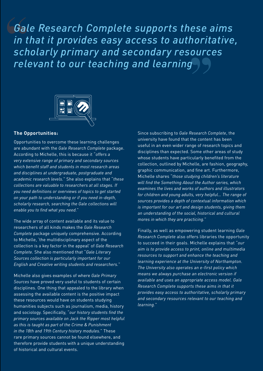**" "** *Gale Research Complete supports these aims in that it provides easy access to authoritative, scholarly primary and secondary resources relevant to our teaching and learning*



### **The Opportunities:**

Opportunities to overcome these learning challenges are abundant with the *Gale Research Complete* package. According to Michelle, this is because it "*offers a very extensive range of primary and secondary sources which benefit staff and students in most research areas and disciplines at undergraduate, postgraduate and academic research levels.*" She also explains that "*these collections are valuable to researchers at all stages. If you need definitions or overviews of topics to get started on your path to understanding or if you need in-depth, scholarly research, searching the Gale collections will enable you to find what you need.*"

The wide array of content available and its value to researchers of all kinds makes the *Gale Research Complete* package uniquely comprehensive. According to Michelle, 'the multidisciplinary aspect of the collection is a key factor in the appeal' of *Gale Research Complete*. She also mentioned that "*Gale Literary Sources collection is particularly important for our English and Creative writing students and researchers.*"

Michelle also gives examples of where *Gale Primary Sources* have proved very useful to students of certain disciplines. One thing that appealed to the library when assessing the available content is the positive impact these resources would have on students studying humanities subjects such as journalism, media, history and sociology. Specifically, "*our history students find the primary sources available on Jack the Ripper most helpful as this is taught as part of the Crime & Punishment in the 18th and 19th Century history modules.*" These rare primary sources cannot be found elsewhere, and therefore provide students with a unique understanding of historical and cultural events.

Since subscribing to *Gale Research Complete*, the university have found that the content has been useful in an even wider range of research topics and disciplines than expected. Some other areas of study whose students have particularly benefited from the collection, outlined by Michelle, are fashion, geography, graphic communication, and fine art. Furthermore, Michelle shares "*those studying children's literature will find the Something About the Author series, which examines the lives and works of authors and illustrators for children and young adults, very helpful… The range of sources provides a depth of contextual information which is important for our art and design students, giving them an understanding of the social, historical and cultural mores in which they are practicing.*"

Finally, as well as empowering student learning *Gale Research Complete* also offers libraries the opportunity to succeed in their goals. Michelle explains that "*our aim is to provide access to print, online and multimedia resources to support and enhance the teaching and learning experience at the University of Northampton. The University also operates an e-first policy which means we always purchase an electronic version if available and uses an appropriate access model. Gale Research Complete supports these aims in that it provides easy access to authoritative, scholarly primary and secondary resources relevant to our teaching and learning.*"